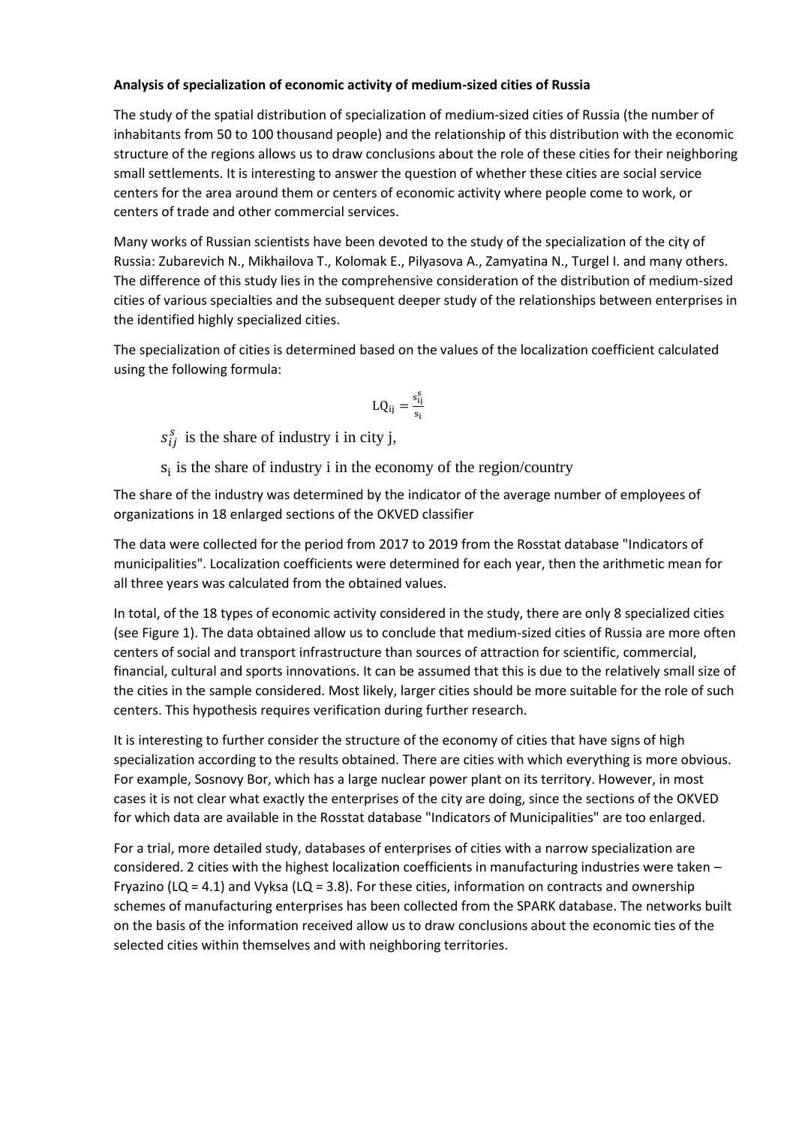## **Analysis of specialization of economic activity of medium-sized cities of Russia**

The study of the spatial distribution of specialization of medium-sized cities of Russia (the number of inhabitants from 50 to 100 thousand people) and the relationship of this distribution with the economic structure of the regions allows us to draw conclusions about the role of these cities for their neighboring small settlements. It is interesting to answer the question of whether these cities are social service centers for the area around them or centers of economic activity where people come to work, or centers of trade and other commercial services.

Many works of Russian scientists have been devoted to the study of the specialization of the city of Russia: Zubarevich N., Mikhailova T., Kolomak E., Pilyasova A., Zamyatina N., Turgel I. and many others. The difference of this study lies in the comprehensive consideration of the distribution of medium-sized cities of various specialties and the subsequent deeper study of the relationships between enterprises in the identified highly specialized cities.

The specialization of cities is determined based on the values of the localization coefficient calculated using the following formula:

$$
LQ_{ij}=\frac{\mathsf{s}_{ij}^s}{\mathsf{s}_i}
$$

 $s_{ij}^s$  is the share of industry i in city j,

 $s_i$  is the share of industry i in the economy of the region/country

The share of the industry was determined by the indicator of the average number of employees of organizations in 18 enlarged sections of the OKVED classifier

The data were collected for the period from 2017 to 2019 from the Rosstat database "Indicators of municipalities". Localization coefficients were determined for each year, then the arithmetic mean for all three years was calculated from the obtained values.

In total, of the 18 types of economic activity considered in the study, there are only 8 specialized cities (see Figure 1). The data obtained allow us to conclude that medium-sized cities of Russia are more often centers of social and transport infrastructure than sources of attraction for scientific, commercial, financial, cultural and sports innovations. It can be assumed that this is due to the relatively small size of the cities in the sample considered. Most likely, larger cities should be more suitable for the role of such centers. This hypothesis requires verification during further research.

It is interesting to further consider the structure of the economy of cities that have signs of high specialization according to the results obtained. There are cities with which everything is more obvious. For example, Sosnovy Bor, which has a large nuclear power plant on its territory. However, in most cases it is not clear what exactly the enterprises of the city are doing, since the sections of the OKVED for which data are available in the Rosstat database "Indicators of Municipalities" are too enlarged.

For a trial, more detailed study, databases of enterprises of cities with a narrow specialization are considered. 2 cities with the highest localization coefficients in manufacturing industries were taken – Fryazino (LQ = 4.1) and Vyksa (LQ = 3.8). For these cities, information on contracts and ownership schemes of manufacturing enterprises has been collected from the SPARK database. The networks built on the basis of the information received allow us to draw conclusions about the economic ties of the selected cities within themselves and with neighboring territories.